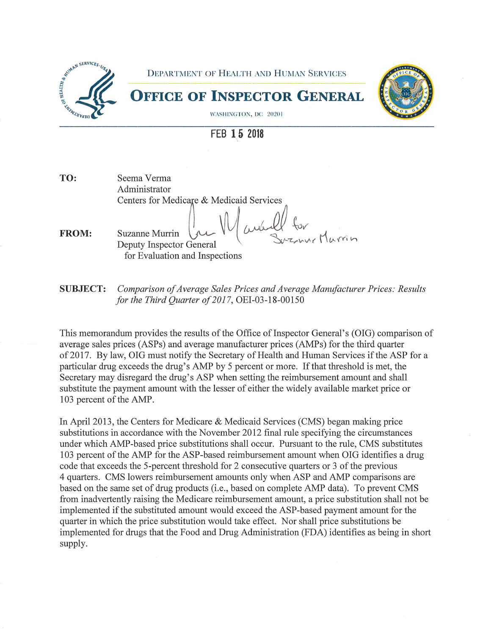

**FEB 15 2018** 

**TO:**  Seema Verma Administrator Centers for Medicare & Medicaid Services<br>
Suzanne Murrin (*July Quebull for*<br>
Deputy Inspector General Suzanne Murrin

**FROM:**  for Evaluation and Inspections

**SUBJECT:** *Comparison of Average Sales Prices and Average Manufacturer Prices: Results for the Third Quarter of 2017,* OEI-03-18-00150

This memorandum provides the results of the Office of Inspector General's (OIG) comparison of average sales prices (ASPs) and average manufacturer prices (AMPs) for the third quarter of 2017. By law, OIG must notify the Secretary of Health and Human Services if the ASP for a particular drug exceeds the drug's AMP by 5 percent or more. If that threshold is met, the Secretary may disregard the drug's ASP when setting the reimbursement amount and shall substitute the payment amount with the lesser of either the widely available market price or 103 percent of the AMP.

In April 2013, the Centers for Medicare & Medicaid Services (CMS) began making price substitutions in accordance with the November 2012 final rule specifying the circumstances under which AMP-based price substitutions shall occur. Pursuant to the rule, CMS substitutes 103 percent of the AMP for the ASP-based reimbursement amount when OIG identifies a drug code that exceeds the 5-percent threshold for 2 consecutive quarters or 3 of the previous 4 quarters. CMS lowers reimbursement amounts only when ASP and AMP comparisons are based on the same set of drug products (i.e., based on complete AMP data). To prevent CMS from inadvertently raising the Medicare reimbursement amount, a price substitution shall not be implemented if the substituted amount would exceed the ASP-based payment amount for the quarter in which the price substitution would take effect. Nor shall price substitutions be implemented for drugs that the Food and Drug Administration (FDA) identifies as being in short supply.